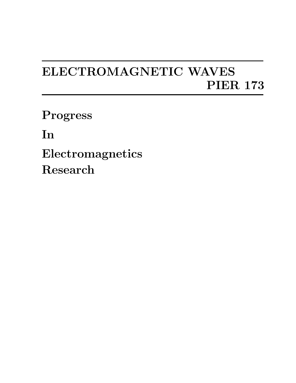## **ELECTROMAGNETIC WAVES PIER 173**

**Progress**

**In**

**Electromagnetics Research**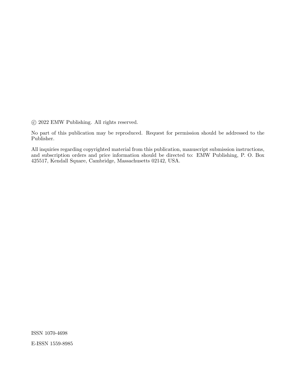*⃝*c 2022 EMW Publishing. All rights reserved.

No part of this publication may be reproduced. Request for permission should be addressed to the Publisher.

All inquiries regarding copyrighted material from this publication, manuscript submission instructions, and subscription orders and price information should be directed to: EMW Publishing, P. O. Box 425517, Kendall Square, Cambridge, Massachusetts 02142, USA.

ISSN 1070-4698 E-ISSN 1559-8985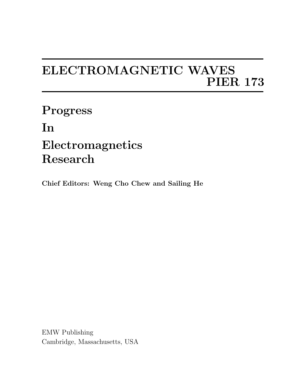## **ELECTROMAGNETIC WAVES PIER 173**

**Progress In Electromagnetics Research**

**Chief Editors: Weng Cho Chew and Sailing He**

EMW Publishing Cambridge, Massachusetts, USA